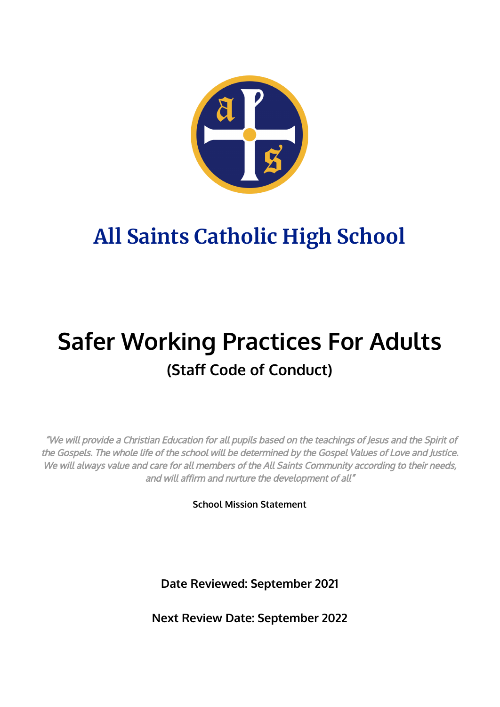

# **All Saints Catholic High School**

## **Safer Working Practices For Adults (Staff Code of Conduct)**

"We will provide <sup>a</sup> Christian Education for all pupils based on the teachings of Jesus and the Spirit of the Gospels. The whole life of the school will be determined by the Gospel Values of Love and Justice. We will always value and care for all members of the All Saints Community according to their needs, and will affirm and nurture the development of all"

**School Mission Statement**

**Date Reviewed: September 2021**

**Next Review Date: September 2022**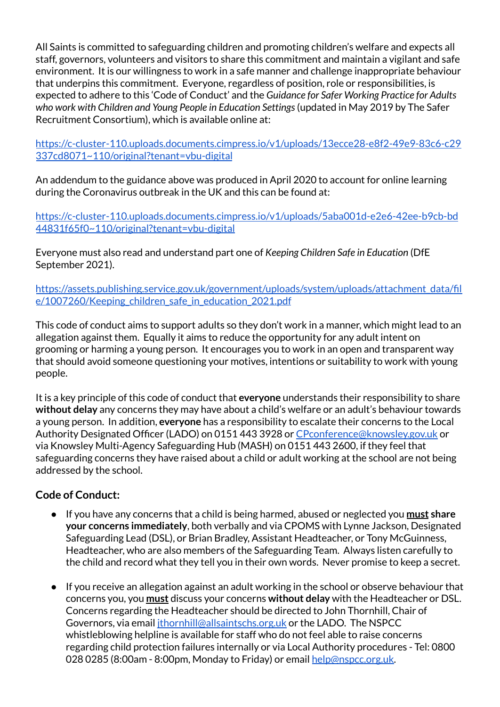All Saints is committed to safeguarding children and promoting children's welfare and expects all staff, governors, volunteers and visitors to share this commitment and maintain a vigilant and safe environment. It is our willingness to work in a safe manner and challenge inappropriate behaviour that underpins this commitment. Everyone, regardless of position, role or responsibilities, is expected to adhere to this 'Code of Conduct' and the *Guidance for Safer Working Practice for Adults who work with Children and Young People in Education Settings*(updated in May 2019 by The Safer Recruitment Consortium), which is available online at:

[https://c-cluster-110.uploads.documents.cimpress.io/v1/uploads/13ecce28-e8f2-49e9-83c6-c29](https://c-cluster-110.uploads.documents.cimpress.io/v1/uploads/13ecce28-e8f2-49e9-83c6-c29337cd8071~110/original?tenant=vbu-digital) [337cd8071~110/original?tenant=vbu-digital](https://c-cluster-110.uploads.documents.cimpress.io/v1/uploads/13ecce28-e8f2-49e9-83c6-c29337cd8071~110/original?tenant=vbu-digital)

An addendum to the guidance above was produced in April 2020 to account for online learning during the Coronavirus outbreak in the UK and this can be found at:

[https://c-cluster-110.uploads.documents.cimpress.io/v1/uploads/5aba001d-e2e6-42ee-b9cb-bd](https://c-cluster-110.uploads.documents.cimpress.io/v1/uploads/5aba001d-e2e6-42ee-b9cb-bd44831f65f0~110/original?tenant=vbu-digital) [44831f65f0~110/original?tenant=vbu-digital](https://c-cluster-110.uploads.documents.cimpress.io/v1/uploads/5aba001d-e2e6-42ee-b9cb-bd44831f65f0~110/original?tenant=vbu-digital)

Everyone must also read and understand part one of *Keeping Children Safe in Education* (DfE September 2021).

[https://assets.publishing.service.gov.uk/government/uploads/system/uploads/attachment\\_data/fil](https://assets.publishing.service.gov.uk/government/uploads/system/uploads/attachment_data/file/1007260/Keeping_children_safe_in_education_2021.pdf) e/1007260/Keeping children safe in education 2021.pdf

This code of conduct aims to support adults so they don't work in a manner, which might lead to an allegation against them. Equally it aims to reduce the opportunity for any adult intent on grooming or harming a young person. It encourages you to work in an open and transparent way that should avoid someone questioning your motives, intentions or suitability to work with young people.

It is a key principle of this code of conduct that **everyone** understands their responsibility to share **without delay** any concerns they may have about a child's welfare or an adult's behaviour towards a young person. In addition, **everyone** has a responsibility to escalate their concerns to the Local Authority Designated Officer (LADO) on 0151 443 3928 or [CPconference@knowsley.gov.uk](mailto:CPconference@knowsley.gov.uk) or via Knowsley Multi-Agency Safeguarding Hub (MASH) on 0151 443 2600, if they feel that safeguarding concerns they have raised about a child or adult working at the school are not being addressed by the school.

### **Code of Conduct:**

- If you have any concerns that a child is being harmed, abused or neglected you **must share your concerns immediately**, both verbally and via CPOMS with Lynne Jackson, Designated Safeguarding Lead (DSL), or Brian Bradley, Assistant Headteacher, or Tony McGuinness, Headteacher, who are also members of the Safeguarding Team. Always listen carefully to the child and record what they tell you in their own words. Never promise to keep a secret.
- If you receive an allegation against an adult working in the school or observe behaviour that concerns you, you **must** discuss your concerns **without delay** with the Headteacher or DSL. Concerns regarding the Headteacher should be directed to John Thornhill, Chair of Governors, via email [jthornhill@allsaintschs.org.uk](mailto:jthornhill@allsaintschs.org.uk) or the LADO. The NSPCC whistleblowing helpline is available for staff who do not feel able to raise concerns regarding child protection failures internally or via Local Authority procedures - Tel: 0800 028 0285 (8:00am - 8:00pm, Monday to Friday) or email [help@nspcc.org.uk.](mailto:help@nspcc.org.uk)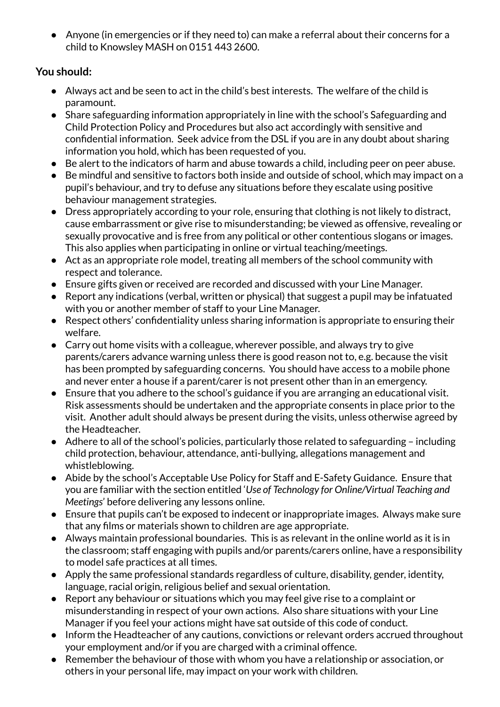● Anyone (in emergencies or if they need to) can make a referral about their concerns for a child to Knowsley MASH on 0151 443 2600.

### **You should:**

- Always act and be seen to act in the child's best interests. The welfare of the child is paramount.
- Share safeguarding information appropriately in line with the school's Safeguarding and Child Protection Policy and Procedures but also act accordingly with sensitive and confidential information. Seek advice from the DSL if you are in any doubt about sharing information you hold, which has been requested of you.
- Be alert to the indicators of harm and abuse towards a child, including peer on peer abuse.
- Be mindful and sensitive to factors both inside and outside of school, which may impact on a pupil's behaviour, and try to defuse any situations before they escalate using positive behaviour management strategies.
- Dress appropriately according to your role, ensuring that clothing is not likely to distract, cause embarrassment or give rise to misunderstanding; be viewed as offensive, revealing or sexually provocative and is free from any political or other contentious slogans or images. This also applies when participating in online or virtual teaching/meetings.
- Act as an appropriate role model, treating all members of the school community with respect and tolerance.
- Ensure gifts given or received are recorded and discussed with your Line Manager.
- Report any indications (verbal, written or physical) that suggest a pupil may be infatuated with you or another member of staff to your Line Manager.
- Respect others' confidentiality unless sharing information is appropriate to ensuring their welfare.
- Carry out home visits with a colleague, wherever possible, and always try to give parents/carers advance warning unless there is good reason not to, e.g. because the visit has been prompted by safeguarding concerns. You should have access to a mobile phone and never enter a house if a parent/carer is not present other than in an emergency.
- Ensure that you adhere to the school's guidance if you are arranging an educational visit. Risk assessments should be undertaken and the appropriate consents in place prior to the visit. Another adult should always be present during the visits, unless otherwise agreed by the Headteacher.
- Adhere to all of the school's policies, particularly those related to safeguarding including child protection, behaviour, attendance, anti-bullying, allegations management and whistleblowing.
- Abide by the school's Acceptable Use Policy for Staff and E-Safety Guidance. Ensure that you are familiar with the section entitled '*Use of Technology for Online/Virtual Teaching and Meetings*' before delivering any lessons online.
- Ensure that pupils can't be exposed to indecent or inappropriate images. Always make sure that any films or materials shown to children are age appropriate.
- Always maintain professional boundaries. This is as relevant in the online world as it is in the classroom; staff engaging with pupils and/or parents/carers online, have a responsibility to model safe practices at all times.
- Apply the same professional standards regardless of culture, disability, gender, identity, language, racial origin, religious belief and sexual orientation.
- Report any behaviour or situations which you may feel give rise to a complaint or misunderstanding in respect of your own actions. Also share situations with your Line Manager if you feel your actions might have sat outside of this code of conduct.
- Inform the Headteacher of any cautions, convictions or relevant orders accrued throughout your employment and/or if you are charged with a criminal offence.
- Remember the behaviour of those with whom you have a relationship or association, or others in your personal life, may impact on your work with children.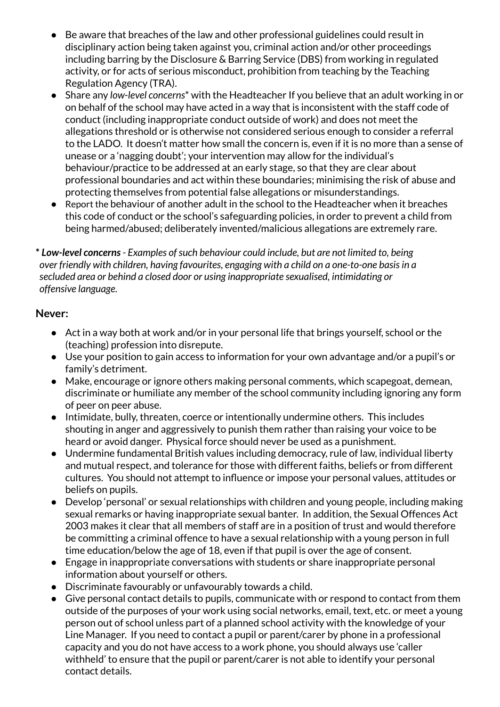- Be aware that breaches of the law and other professional guidelines could result in disciplinary action being taken against you, criminal action and/or other proceedings including barring by the Disclosure & Barring Service (DBS) from working in regulated activity, or for acts of serious misconduct, prohibition from teaching by the Teaching Regulation Agency (TRA).
- Share any *low-level concerns*\* with the Headteacher If you believe that an adult working in or on behalf of the school may have acted in a way that is inconsistent with the staff code of conduct (including inappropriate conduct outside of work) and does not meet the allegations threshold or is otherwise not considered serious enough to consider a referral to the LADO. It doesn't matter how small the concern is, even if it is no more than a sense of unease or a 'nagging doubt'; your intervention may allow for the individual's behaviour/practice to be addressed at an early stage, so that they are clear about professional boundaries and act within these boundaries; minimising the risk of abuse and protecting themselves from potential false allegations or misunderstandings.
- Report the behaviour of another adult in the school to the Headteacher when it breaches this code of conduct or the school's safeguarding policies, in order to prevent a child from being harmed/abused; deliberately invented/malicious allegations are extremely rare.

**\*** *Low-level concerns- Examples ofsuch behaviour could include, but are not limited to, being over friendly with children, having favourites, engaging with a child on a one-to-one basisin a secluded area or behind a closed door or using inappropriate sexualised, intimidating or offensive language.*

#### **Never:**

- Act in a way both at work and/or in your personal life that brings yourself, school or the (teaching) profession into disrepute.
- Use your position to gain access to information for your own advantage and/or a pupil's or family's detriment.
- Make, encourage or ignore others making personal comments, which scapegoat, demean, discriminate or humiliate any member of the school community including ignoring any form of peer on peer abuse.
- Intimidate, bully, threaten, coerce or intentionally undermine others. This includes shouting in anger and aggressively to punish them rather than raising your voice to be heard or avoid danger. Physical force should never be used as a punishment.
- Undermine fundamental British values including democracy, rule of law, individual liberty and mutual respect, and tolerance for those with different faiths, beliefs or from different cultures. You should not attempt to influence or impose your personal values, attitudes or beliefs on pupils.
- Develop 'personal' or sexual relationships with children and young people, including making sexual remarks or having inappropriate sexual banter. In addition, the Sexual Offences Act 2003 makes it clear that all members of staff are in a position of trust and would therefore be committing a criminal offence to have a sexual relationship with a young person in full time education/below the age of 18, even if that pupil is over the age of consent.
- Engage in inappropriate conversations with students or share inappropriate personal information about yourself or others.
- Discriminate favourably or unfavourably towards a child.
- Give personal contact details to pupils, communicate with or respond to contact from them outside of the purposes of your work using social networks, email, text, etc. or meet a young person out of school unless part of a planned school activity with the knowledge of your Line Manager. If you need to contact a pupil or parent/carer by phone in a professional capacity and you do not have access to a work phone, you should always use 'caller withheld' to ensure that the pupil or parent/carer is not able to identify your personal contact details.